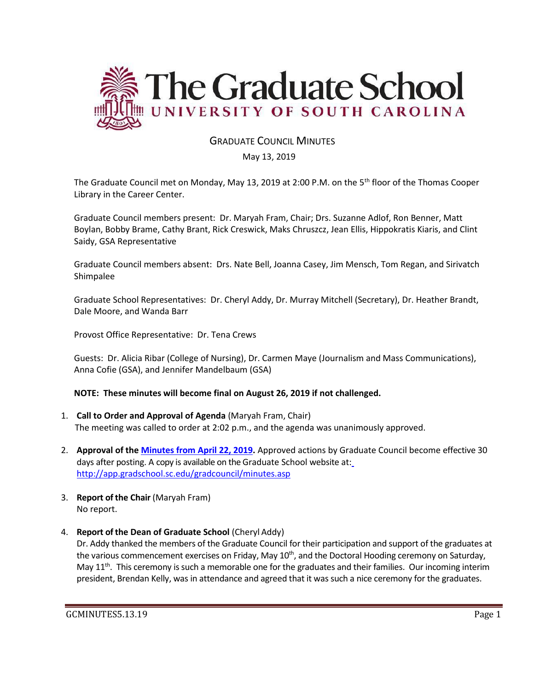

# GRADUATE COUNCIL MINUTES

#### May 13, 2019

The Graduate Council met on Monday, May 13, 2019 at 2:00 P.M. on the 5<sup>th</sup> floor of the Thomas Cooper Library in the Career Center.

Graduate Council members present: Dr. Maryah Fram, Chair; Drs. Suzanne Adlof, Ron Benner, Matt Boylan, Bobby Brame, Cathy Brant, Rick Creswick, Maks Chruszcz, Jean Ellis, Hippokratis Kiaris, and Clint Saidy, GSA Representative

Graduate Council members absent: Drs. Nate Bell, Joanna Casey, Jim Mensch, Tom Regan, and Sirivatch Shimpalee

Graduate School Representatives: Dr. Cheryl Addy, Dr. Murray Mitchell (Secretary), Dr. Heather Brandt, Dale Moore, and Wanda Barr

Provost Office Representative: Dr. Tena Crews

Guests: Dr. Alicia Ribar (College of Nursing), Dr. Carmen Maye (Journalism and Mass Communications), Anna Cofie (GSA), and Jennifer Mandelbaum (GSA)

#### **NOTE: These minutes will become final on August 26, 2019 if not challenged.**

- 1. **Call to Order and Approval of Agenda** (Maryah Fram, Chair) The meeting was called to order at 2:02 p.m., and the agenda was unanimously approved.
- 2. **Approval of the [Minutes from April](file:///C:/Users/wandab/Local%20Documents/Graduate%20Council/GCMINSAPR222019MM.pdf) 22, 2019.** Approved actions by Graduate Council become effective 30 days after posting. A copy is available on the Graduate School website at[:](http://app.gradschool.sc.edu/gradcouncil/minutes.asp) <http://app.gradschool.sc.edu/gradcouncil/minutes.asp>
- 3. **Report of the Chair** (Maryah Fram) No report.
- 4. **Report of the Dean of Graduate School** (Cheryl Addy)

Dr. Addy thanked the members of the Graduate Council for their participation and support of the graduates at the various commencement exercises on Friday, May 10<sup>th</sup>, and the Doctoral Hooding ceremony on Saturday, May  $11<sup>th</sup>$ . This ceremony is such a memorable one for the graduates and their families. Our incoming interim president, Brendan Kelly, was in attendance and agreed that it was such a nice ceremony for the graduates.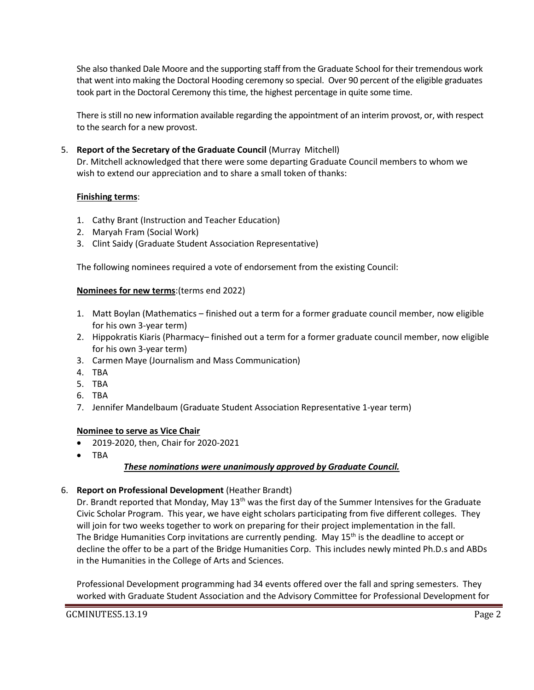She also thanked Dale Moore and the supporting staff from the Graduate School for their tremendous work that went into making the Doctoral Hooding ceremony so special. Over 90 percent of the eligible graduates took part in the Doctoral Ceremony this time, the highest percentage in quite some time.

There is still no new information available regarding the appointment of an interim provost, or, with respect to the search for a new provost.

5. **Report of the Secretary of the Graduate Council** (Murray Mitchell)

Dr. Mitchell acknowledged that there were some departing Graduate Council members to whom we wish to extend our appreciation and to share a small token of thanks:

## **Finishing terms**:

- 1. Cathy Brant (Instruction and Teacher Education)
- 2. Maryah Fram (Social Work)
- 3. Clint Saidy (Graduate Student Association Representative)

The following nominees required a vote of endorsement from the existing Council:

### **Nominees for new terms**:(terms end 2022)

- 1. Matt Boylan (Mathematics finished out a term for a former graduate council member, now eligible for his own 3-year term)
- 2. Hippokratis Kiaris (Pharmacy– finished out a term for a former graduate council member, now eligible for his own 3-year term)
- 3. Carmen Maye (Journalism and Mass Communication)
- 4. TBA
- 5. TBA
- 6. TBA
- 7. Jennifer Mandelbaum (Graduate Student Association Representative 1-year term)

#### **Nominee to serve as Vice Chair**

- 2019-2020, then, Chair for 2020-2021
- TBA

## *These nominations were unanimously approved by Graduate Council.*

#### 6. **Report on Professional Development** (Heather Brandt)

Dr. Brandt reported that Monday, May 13<sup>th</sup> was the first day of the Summer Intensives for the Graduate Civic Scholar Program. This year, we have eight scholars participating from five different colleges. They will join for two weeks together to work on preparing for their project implementation in the fall. The Bridge Humanities Corp invitations are currently pending. May  $15<sup>th</sup>$  is the deadline to accept or decline the offer to be a part of the Bridge Humanities Corp. This includes newly minted Ph.D.s and ABDs in the Humanities in the College of Arts and Sciences.

Professional Development programming had 34 events offered over the fall and spring semesters. They worked with Graduate Student Association and the Advisory Committee for Professional Development for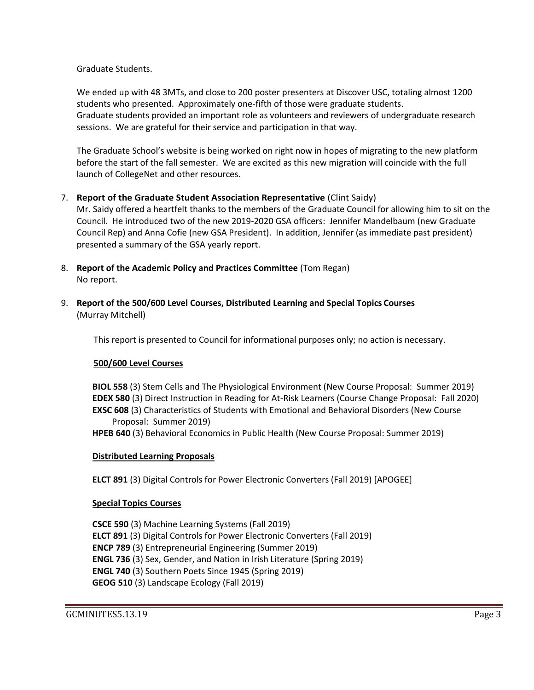Graduate Students.

We ended up with 48 3MTs, and close to 200 poster presenters at Discover USC, totaling almost 1200 students who presented. Approximately one-fifth of those were graduate students. Graduate students provided an important role as volunteers and reviewers of undergraduate research sessions. We are grateful for their service and participation in that way.

The Graduate School's website is being worked on right now in hopes of migrating to the new platform before the start of the fall semester. We are excited as this new migration will coincide with the full launch of CollegeNet and other resources.

7. **Report of the Graduate Student Association Representative** (Clint Saidy)

Mr. Saidy offered a heartfelt thanks to the members of the Graduate Council for allowing him to sit on the Council. He introduced two of the new 2019-2020 GSA officers: Jennifer Mandelbaum (new Graduate Council Rep) and Anna Cofie (new GSA President). In addition, Jennifer (as immediate past president) presented a summary of the GSA yearly report.

- 8. **Report of the Academic Policy and Practices Committee** (Tom Regan) No report.
- 9. **Report of the 500/600 Level Courses, Distributed Learning and Special Topics Courses** (Murray Mitchell)

This report is presented to Council for informational purposes only; no action is necessary.

## **500/600 Level Courses**

**BIOL 558** (3) Stem Cells and The Physiological Environment (New Course Proposal: Summer 2019) **EDEX 580** (3) Direct Instruction in Reading for At-Risk Learners (Course Change Proposal: Fall 2020) **EXSC 608** (3) Characteristics of Students with Emotional and Behavioral Disorders (New Course Proposal: Summer 2019)

**HPEB 640** (3) Behavioral Economics in Public Health (New Course Proposal: Summer 2019)

## **Distributed Learning Proposals**

**ELCT 891** (3) Digital Controls for Power Electronic Converters (Fall 2019) [APOGEE]

## **Special Topics Courses**

**CSCE 590** (3) Machine Learning Systems (Fall 2019) **ELCT 891** (3) Digital Controls for Power Electronic Converters (Fall 2019) **ENCP 789** (3) Entrepreneurial Engineering (Summer 2019) **ENGL 736** (3) Sex, Gender, and Nation in Irish Literature (Spring 2019) **ENGL 740** (3) Southern Poets Since 1945 (Spring 2019) **GEOG 510** (3) Landscape Ecology (Fall 2019)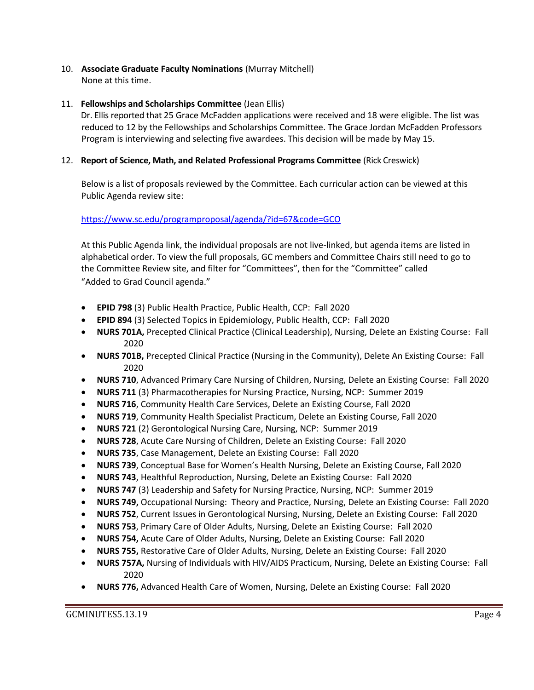10. **Associate Graduate Faculty Nominations** (Murray Mitchell) None at this time.

### 11. **Fellowships and Scholarships Committee** (Jean Ellis)

Dr. Ellis reported that 25 Grace McFadden applications were received and 18 were eligible. The list was reduced to 12 by the Fellowships and Scholarships Committee. The Grace Jordan McFadden Professors Program is interviewing and selecting five awardees. This decision will be made by May 15.

### 12. **Report of Science, Math, and Related Professional Programs Committee** (Rick Creswick)

Below is a list of proposals reviewed by the Committee. Each curricular action can be viewed at this Public Agenda review site:

### <https://www.sc.edu/programproposal/agenda/?id=67&code=GCO>

At this Public Agenda link, the individual proposals are not live-linked, but agenda items are listed in alphabetical order. To view the full proposals, GC members and Committee Chairs still need to go to the Committee Review site, and filter for "Committees", then for the "Committee" called "Added to Grad Council agenda."

- **EPID 798** (3) Public Health Practice, Public Health, CCP: Fall 2020
- **EPID 894** (3) Selected Topics in Epidemiology, Public Health, CCP: Fall 2020
- **NURS 701A,** Precepted Clinical Practice (Clinical Leadership), Nursing, Delete an Existing Course: Fall 2020
- **NURS 701B,** Precepted Clinical Practice (Nursing in the Community), Delete An Existing Course: Fall 2020
- **NURS 710**, Advanced Primary Care Nursing of Children, Nursing, Delete an Existing Course: Fall 2020
- **NURS 711** (3) Pharmacotherapies for Nursing Practice, Nursing, NCP: Summer 2019
- **NURS 716**, Community Health Care Services, Delete an Existing Course, Fall 2020
- **NURS 719**, Community Health Specialist Practicum, Delete an Existing Course, Fall 2020
- **NURS 721** (2) Gerontological Nursing Care, Nursing, NCP: Summer 2019
- **NURS 728**, Acute Care Nursing of Children, Delete an Existing Course: Fall 2020
- **NURS 735**, Case Management, Delete an Existing Course: Fall 2020
- **NURS 739**, Conceptual Base for Women's Health Nursing, Delete an Existing Course, Fall 2020
- **NURS 743**, Healthful Reproduction, Nursing, Delete an Existing Course: Fall 2020
- **NURS 747** (3) Leadership and Safety for Nursing Practice, Nursing, NCP: Summer 2019
- **NURS 749,** Occupational Nursing: Theory and Practice, Nursing, Delete an Existing Course: Fall 2020
- **NURS 752**, Current Issues in Gerontological Nursing, Nursing, Delete an Existing Course: Fall 2020
- **NURS 753**, Primary Care of Older Adults, Nursing, Delete an Existing Course: Fall 2020
- **NURS 754,** Acute Care of Older Adults, Nursing, Delete an Existing Course: Fall 2020
- **NURS 755,** Restorative Care of Older Adults, Nursing, Delete an Existing Course: Fall 2020
- **NURS 757A,** Nursing of Individuals with HIV/AIDS Practicum, Nursing, Delete an Existing Course: Fall 2020
- **NURS 776,** Advanced Health Care of Women, Nursing, Delete an Existing Course: Fall 2020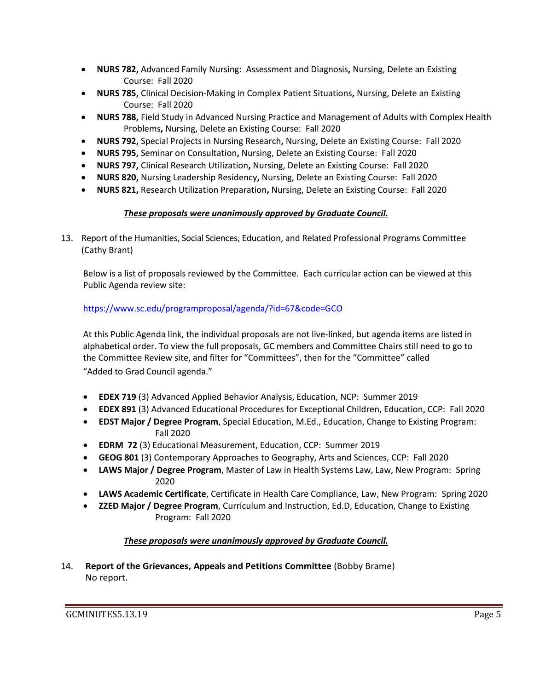- **NURS 782,** Advanced Family Nursing: Assessment and Diagnosis**,** Nursing, Delete an Existing Course: Fall 2020
- **NURS 785,** Clinical Decision-Making in Complex Patient Situations**,** Nursing, Delete an Existing Course: Fall 2020
- **NURS 788,** Field Study in Advanced Nursing Practice and Management of Adults with Complex Health Problems**,** Nursing, Delete an Existing Course: Fall 2020
- **NURS 792,** Special Projects in Nursing Research**,** Nursing, Delete an Existing Course: Fall 2020
- **NURS 795,** Seminar on Consultation**,** Nursing, Delete an Existing Course: Fall 2020
- **NURS 797,** Clinical Research Utilization**,** Nursing, Delete an Existing Course: Fall 2020
- **NURS 820,** Nursing Leadership Residency**,** Nursing, Delete an Existing Course: Fall 2020
- **NURS 821,** Research Utilization Preparation**,** Nursing, Delete an Existing Course: Fall 2020

# *These proposals were unanimously approved by Graduate Council.*

13. Report of the Humanities, Social Sciences, Education, and Related Professional Programs Committee (Cathy Brant)

Below is a list of proposals reviewed by the Committee. Each curricular action can be viewed at this Public Agenda review site:

# <https://www.sc.edu/programproposal/agenda/?id=67&code=GCO>

At this Public Agenda link, the individual proposals are not live-linked, but agenda items are listed in alphabetical order. To view the full proposals, GC members and Committee Chairs still need to go to the Committee Review site, and filter for "Committees", then for the "Committee" called "Added to Grad Council agenda."

- **EDEX 719** (3) Advanced Applied Behavior Analysis, Education, NCP: Summer 2019
- **EDEX 891** (3) Advanced Educational Procedures for Exceptional Children, Education, CCP: Fall 2020
- **EDST Major / Degree Program**, Special Education, M.Ed., Education, Change to Existing Program: Fall 2020
- **EDRM 72** (3) Educational Measurement, Education, CCP: Summer 2019
- **GEOG 801** (3) Contemporary Approaches to Geography, Arts and Sciences, CCP: Fall 2020
- **LAWS Major / Degree Program**, Master of Law in Health Systems Law, Law, New Program: Spring 2020
- **LAWS Academic Certificate**, Certificate in Health Care Compliance, Law, New Program: Spring 2020
- **ZZED Major / Degree Program**, Curriculum and Instruction, Ed.D, Education, Change to Existing Program: Fall 2020

# *These proposals were unanimously approved by Graduate Council.*

14. **Report of the Grievances, Appeals and Petitions Committee** (Bobby Brame) No report.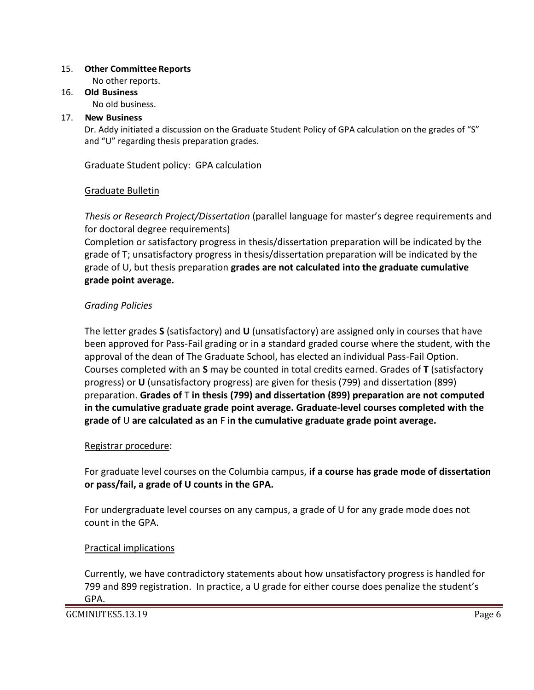## 15. **Other Committee Reports**

No other reports.

16. **Old Business** No old business.

## 17. **New Business**

Dr. Addy initiated a discussion on the Graduate Student Policy of GPA calculation on the grades of "S" and "U" regarding thesis preparation grades.

Graduate Student policy: GPA calculation

# Graduate Bulletin

*Thesis or Research Project/Dissertation* (parallel language for master's degree requirements and for doctoral degree requirements)

Completion or satisfactory progress in thesis/dissertation preparation will be indicated by the grade of T; unsatisfactory progress in thesis/dissertation preparation will be indicated by the grade of U, but thesis preparation **grades are not calculated into the graduate cumulative grade point average.**

# *Grading Policies*

The letter grades **S** (satisfactory) and **U** (unsatisfactory) are assigned only in courses that have been approved for Pass-Fail grading or in a standard graded course where the student, with the approval of the dean of The Graduate School, has elected an individual Pass-Fail Option. Courses completed with an **S** may be counted in total credits earned. Grades of **T** (satisfactory progress) or **U** (unsatisfactory progress) are given for thesis (799) and dissertation (899) preparation. **Grades of** T **in thesis (799) and dissertation (899) preparation are not computed in the cumulative graduate grade point average. Graduate-level courses completed with the grade of** U **are calculated as an** F **in the cumulative graduate grade point average.**

# Registrar procedure:

For graduate level courses on the Columbia campus, **if a course has grade mode of dissertation or pass/fail, a grade of U counts in the GPA.**

For undergraduate level courses on any campus, a grade of U for any grade mode does not count in the GPA.

# Practical implications

Currently, we have contradictory statements about how unsatisfactory progress is handled for 799 and 899 registration. In practice, a U grade for either course does penalize the student's GPA.